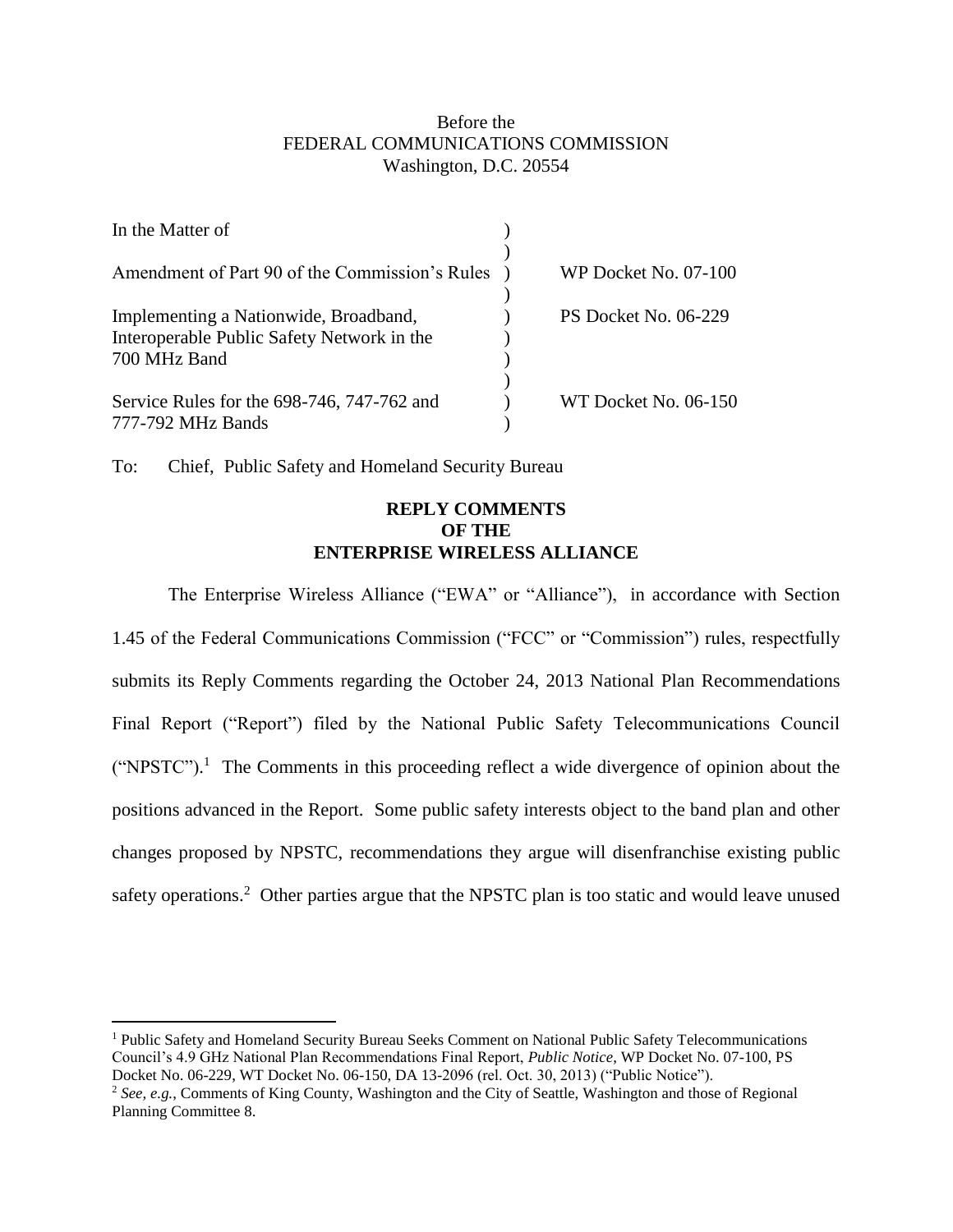## Before the FEDERAL COMMUNICATIONS COMMISSION Washington, D.C. 20554

| In the Matter of                                                                    |                      |
|-------------------------------------------------------------------------------------|----------------------|
| Amendment of Part 90 of the Commission's Rules                                      | WP Docket No. 07-100 |
| Implementing a Nationwide, Broadband,<br>Interoperable Public Safety Network in the | PS Docket No. 06-229 |
| 700 MHz Band<br>Service Rules for the 698-746, 747-762 and                          | WT Docket No. 06-150 |
| 777-792 MHz Bands                                                                   |                      |

To: Chief, Public Safety and Homeland Security Bureau

 $\overline{a}$ 

## **REPLY COMMENTS OF THE ENTERPRISE WIRELESS ALLIANCE**

The Enterprise Wireless Alliance ("EWA" or "Alliance"), in accordance with Section 1.45 of the Federal Communications Commission ("FCC" or "Commission") rules, respectfully submits its Reply Comments regarding the October 24, 2013 National Plan Recommendations Final Report ("Report") filed by the National Public Safety Telecommunications Council  $("NPSTC").$ <sup>1</sup> The Comments in this proceeding reflect a wide divergence of opinion about the positions advanced in the Report. Some public safety interests object to the band plan and other changes proposed by NPSTC, recommendations they argue will disenfranchise existing public safety operations.<sup>2</sup> Other parties argue that the NPSTC plan is too static and would leave unused

<sup>1</sup> Public Safety and Homeland Security Bureau Seeks Comment on National Public Safety Telecommunications Council's 4.9 GHz National Plan Recommendations Final Report, *Public Notice*, WP Docket No. 07-100, PS Docket No. 06-229, WT Docket No. 06-150, DA 13-2096 (rel. Oct. 30, 2013) ("Public Notice").

<sup>&</sup>lt;sup>2</sup> See, e.g., Comments of King County, Washington and the City of Seattle, Washington and those of Regional Planning Committee 8.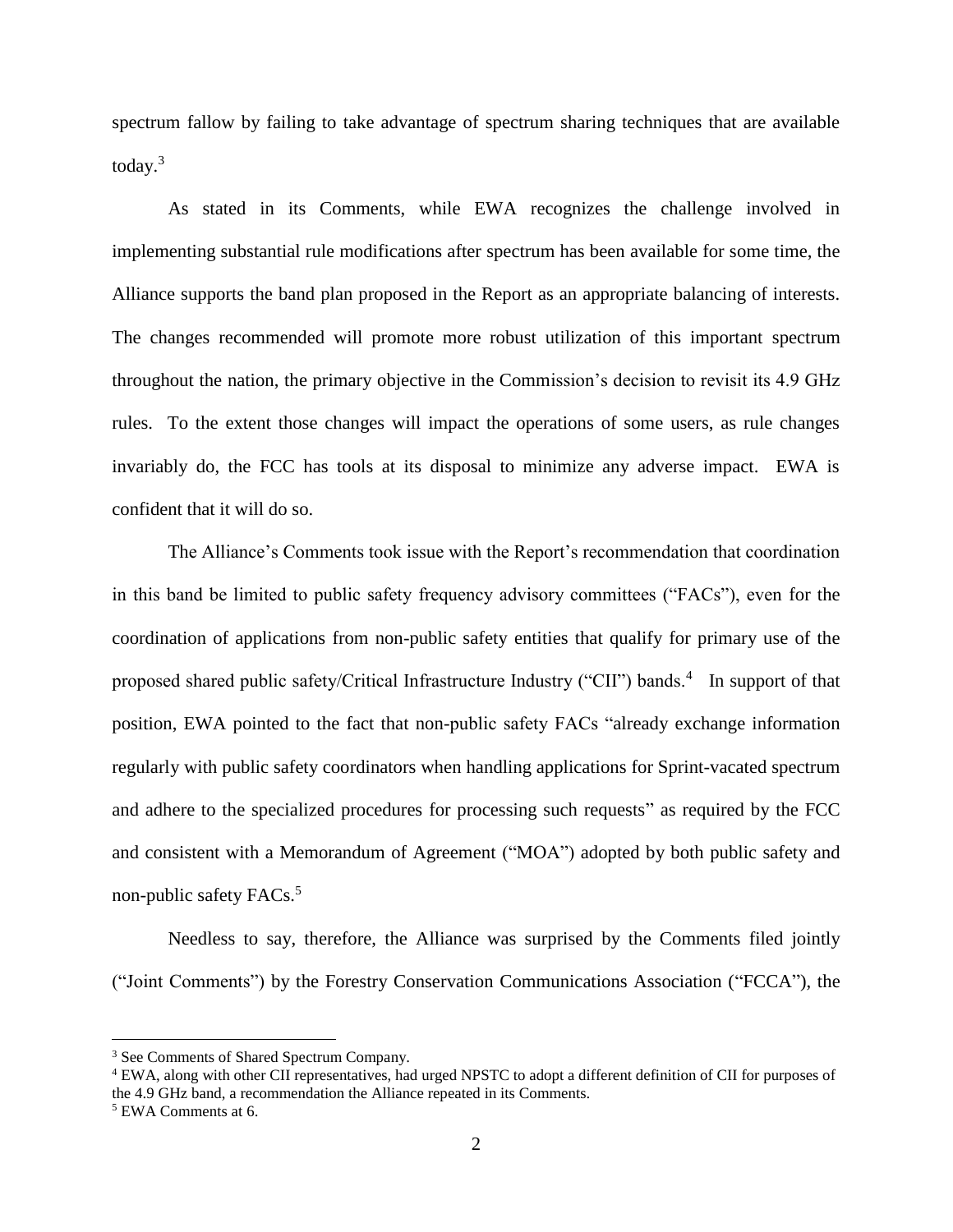spectrum fallow by failing to take advantage of spectrum sharing techniques that are available today.<sup>3</sup>

As stated in its Comments, while EWA recognizes the challenge involved in implementing substantial rule modifications after spectrum has been available for some time, the Alliance supports the band plan proposed in the Report as an appropriate balancing of interests. The changes recommended will promote more robust utilization of this important spectrum throughout the nation, the primary objective in the Commission's decision to revisit its 4.9 GHz rules. To the extent those changes will impact the operations of some users, as rule changes invariably do, the FCC has tools at its disposal to minimize any adverse impact. EWA is confident that it will do so.

The Alliance's Comments took issue with the Report's recommendation that coordination in this band be limited to public safety frequency advisory committees ("FACs"), even for the coordination of applications from non-public safety entities that qualify for primary use of the proposed shared public safety/Critical Infrastructure Industry ("CII") bands.<sup>4</sup> In support of that position, EWA pointed to the fact that non-public safety FACs "already exchange information regularly with public safety coordinators when handling applications for Sprint-vacated spectrum and adhere to the specialized procedures for processing such requests" as required by the FCC and consistent with a Memorandum of Agreement ("MOA") adopted by both public safety and non-public safety FACs. 5

Needless to say, therefore, the Alliance was surprised by the Comments filed jointly ("Joint Comments") by the Forestry Conservation Communications Association ("FCCA"), the

 $\overline{a}$ 

<sup>&</sup>lt;sup>3</sup> See Comments of Shared Spectrum Company.

<sup>4</sup> EWA, along with other CII representatives, had urged NPSTC to adopt a different definition of CII for purposes of the 4.9 GHz band, a recommendation the Alliance repeated in its Comments.

<sup>5</sup> EWA Comments at 6.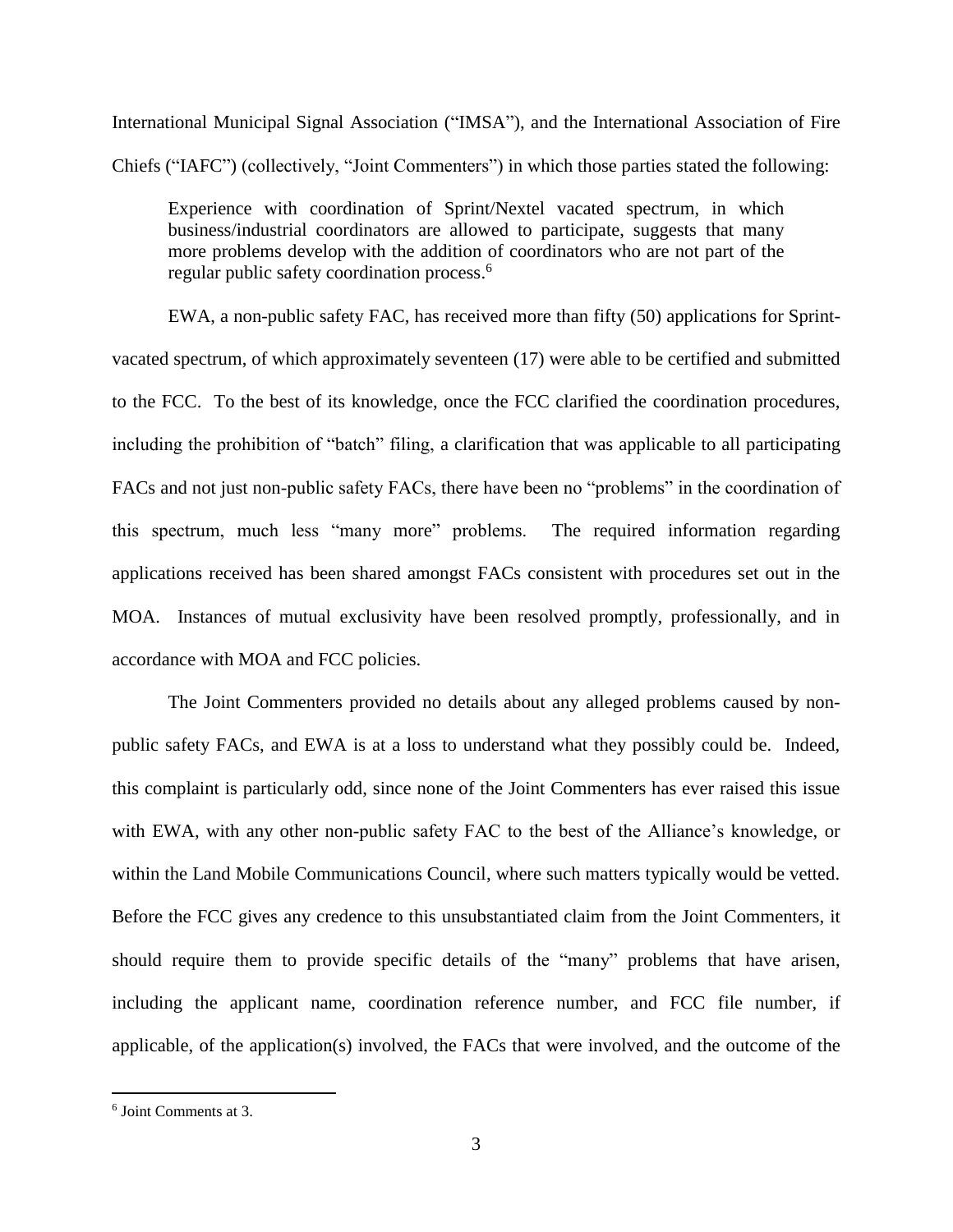International Municipal Signal Association ("IMSA"), and the International Association of Fire Chiefs ("IAFC") (collectively, "Joint Commenters") in which those parties stated the following:

Experience with coordination of Sprint/Nextel vacated spectrum, in which business/industrial coordinators are allowed to participate, suggests that many more problems develop with the addition of coordinators who are not part of the regular public safety coordination process. 6

EWA, a non-public safety FAC, has received more than fifty (50) applications for Sprintvacated spectrum, of which approximately seventeen (17) were able to be certified and submitted to the FCC. To the best of its knowledge, once the FCC clarified the coordination procedures, including the prohibition of "batch" filing, a clarification that was applicable to all participating FACs and not just non-public safety FACs, there have been no "problems" in the coordination of this spectrum, much less "many more" problems. The required information regarding applications received has been shared amongst FACs consistent with procedures set out in the MOA. Instances of mutual exclusivity have been resolved promptly, professionally, and in accordance with MOA and FCC policies.

The Joint Commenters provided no details about any alleged problems caused by nonpublic safety FACs, and EWA is at a loss to understand what they possibly could be. Indeed, this complaint is particularly odd, since none of the Joint Commenters has ever raised this issue with EWA, with any other non-public safety FAC to the best of the Alliance's knowledge, or within the Land Mobile Communications Council, where such matters typically would be vetted. Before the FCC gives any credence to this unsubstantiated claim from the Joint Commenters, it should require them to provide specific details of the "many" problems that have arisen, including the applicant name, coordination reference number, and FCC file number, if applicable, of the application(s) involved, the FACs that were involved, and the outcome of the

 $\overline{a}$ 

<sup>6</sup> Joint Comments at 3.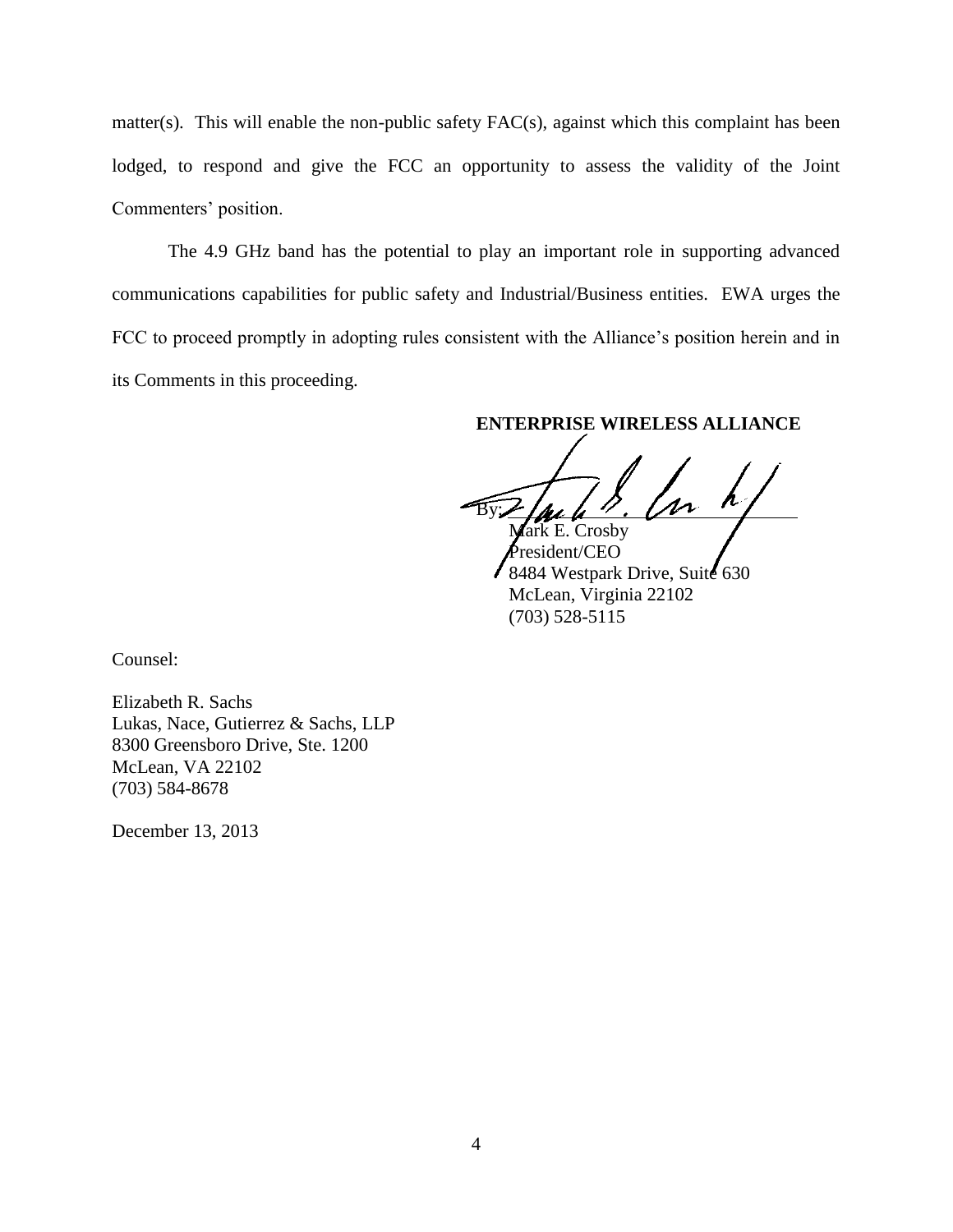matter(s). This will enable the non-public safety FAC(s), against which this complaint has been lodged, to respond and give the FCC an opportunity to assess the validity of the Joint Commenters' position.

The 4.9 GHz band has the potential to play an important role in supporting advanced communications capabilities for public safety and Industrial/Business entities. EWA urges the FCC to proceed promptly in adopting rules consistent with the Alliance's position herein and in its Comments in this proceeding.

**ENTERPRISE WIRELESS ALLIANCE**

 $By L \mu L$  .  $\mu$ Mark E. Crosby

President/CEO 8484 Westpark Drive, Suite 630 McLean, Virginia 22102 (703) 528-5115

Counsel:

Elizabeth R. Sachs Lukas, Nace, Gutierrez & Sachs, LLP 8300 Greensboro Drive, Ste. 1200 McLean, VA 22102 (703) 584-8678

December 13, 2013